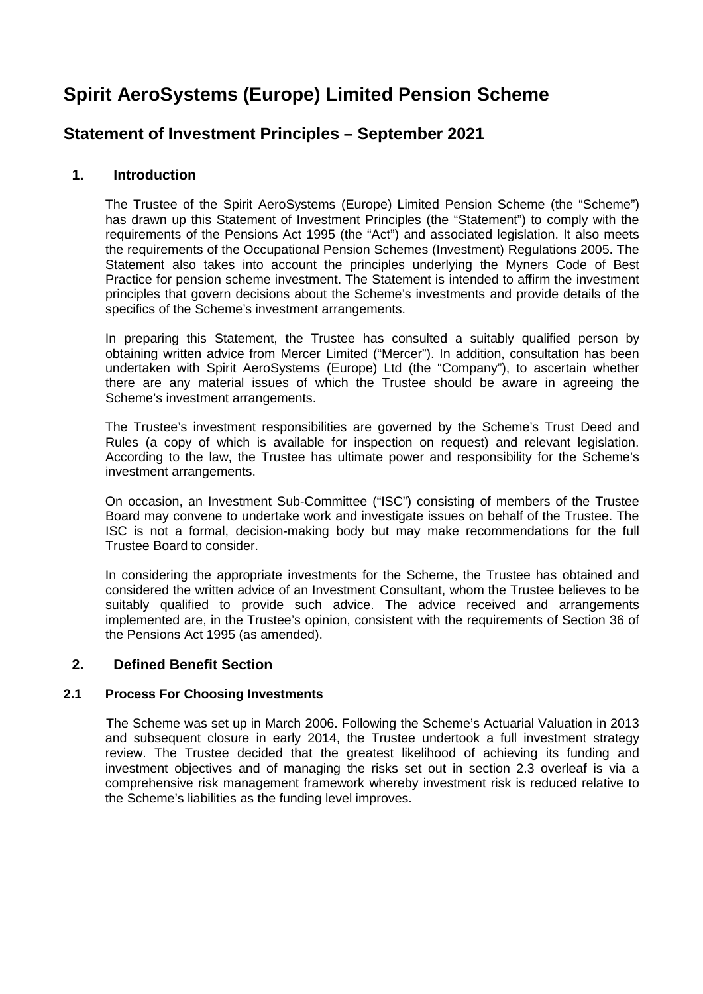# **Spirit AeroSystems (Europe) Limited Pension Scheme**

## **Statement of Investment Principles – September 2021**

## **1. Introduction**

The Trustee of the Spirit AeroSystems (Europe) Limited Pension Scheme (the "Scheme") has drawn up this Statement of Investment Principles (the "Statement") to comply with the requirements of the Pensions Act 1995 (the "Act") and associated legislation. It also meets the requirements of the Occupational Pension Schemes (Investment) Regulations 2005. The Statement also takes into account the principles underlying the Myners Code of Best Practice for pension scheme investment. The Statement is intended to affirm the investment principles that govern decisions about the Scheme's investments and provide details of the specifics of the Scheme's investment arrangements.

In preparing this Statement, the Trustee has consulted a suitably qualified person by obtaining written advice from Mercer Limited ("Mercer"). In addition, consultation has been undertaken with Spirit AeroSystems (Europe) Ltd (the "Company"), to ascertain whether there are any material issues of which the Trustee should be aware in agreeing the Scheme's investment arrangements.

The Trustee's investment responsibilities are governed by the Scheme's Trust Deed and Rules (a copy of which is available for inspection on request) and relevant legislation. According to the law, the Trustee has ultimate power and responsibility for the Scheme's investment arrangements.

On occasion, an Investment Sub-Committee ("ISC") consisting of members of the Trustee Board may convene to undertake work and investigate issues on behalf of the Trustee. The ISC is not a formal, decision-making body but may make recommendations for the full Trustee Board to consider.

In considering the appropriate investments for the Scheme, the Trustee has obtained and considered the written advice of an Investment Consultant, whom the Trustee believes to be suitably qualified to provide such advice. The advice received and arrangements implemented are, in the Trustee's opinion, consistent with the requirements of Section 36 of the Pensions Act 1995 (as amended).

## **2. Defined Benefit Section**

## **2.1 Process For Choosing Investments**

 The Scheme was set up in March 2006. Following the Scheme's Actuarial Valuation in 2013 and subsequent closure in early 2014, the Trustee undertook a full investment strategy review. The Trustee decided that the greatest likelihood of achieving its funding and investment objectives and of managing the risks set out in section 2.3 overleaf is via a comprehensive risk management framework whereby investment risk is reduced relative to the Scheme's liabilities as the funding level improves.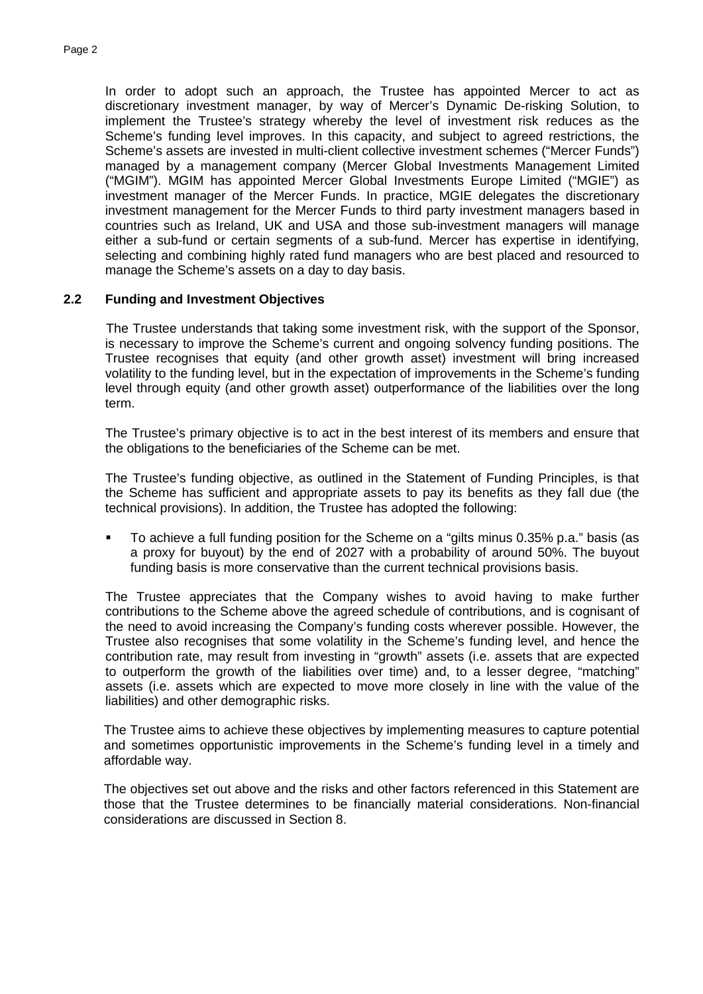In order to adopt such an approach, the Trustee has appointed Mercer to act as discretionary investment manager, by way of Mercer's Dynamic De-risking Solution, to implement the Trustee's strategy whereby the level of investment risk reduces as the Scheme's funding level improves. In this capacity, and subject to agreed restrictions, the Scheme's assets are invested in multi-client collective investment schemes ("Mercer Funds") managed by a management company (Mercer Global Investments Management Limited ("MGIM"). MGIM has appointed Mercer Global Investments Europe Limited ("MGIE") as investment manager of the Mercer Funds. In practice, MGIE delegates the discretionary investment management for the Mercer Funds to third party investment managers based in countries such as Ireland, UK and USA and those sub-investment managers will manage either a sub-fund or certain segments of a sub-fund. Mercer has expertise in identifying, selecting and combining highly rated fund managers who are best placed and resourced to manage the Scheme's assets on a day to day basis.

### **2.2 Funding and Investment Objectives**

 The Trustee understands that taking some investment risk, with the support of the Sponsor, is necessary to improve the Scheme's current and ongoing solvency funding positions. The Trustee recognises that equity (and other growth asset) investment will bring increased volatility to the funding level, but in the expectation of improvements in the Scheme's funding level through equity (and other growth asset) outperformance of the liabilities over the long term.

The Trustee's primary objective is to act in the best interest of its members and ensure that the obligations to the beneficiaries of the Scheme can be met.

The Trustee's funding objective, as outlined in the Statement of Funding Principles, is that the Scheme has sufficient and appropriate assets to pay its benefits as they fall due (the technical provisions). In addition, the Trustee has adopted the following:

 To achieve a full funding position for the Scheme on a "gilts minus 0.35% p.a." basis (as a proxy for buyout) by the end of 2027 with a probability of around 50%. The buyout funding basis is more conservative than the current technical provisions basis.

The Trustee appreciates that the Company wishes to avoid having to make further contributions to the Scheme above the agreed schedule of contributions, and is cognisant of the need to avoid increasing the Company's funding costs wherever possible. However, the Trustee also recognises that some volatility in the Scheme's funding level, and hence the contribution rate, may result from investing in "growth" assets (i.e. assets that are expected to outperform the growth of the liabilities over time) and, to a lesser degree, "matching" assets (i.e. assets which are expected to move more closely in line with the value of the liabilities) and other demographic risks.

The Trustee aims to achieve these objectives by implementing measures to capture potential and sometimes opportunistic improvements in the Scheme's funding level in a timely and affordable way.

The objectives set out above and the risks and other factors referenced in this Statement are those that the Trustee determines to be financially material considerations. Non-financial considerations are discussed in Section 8.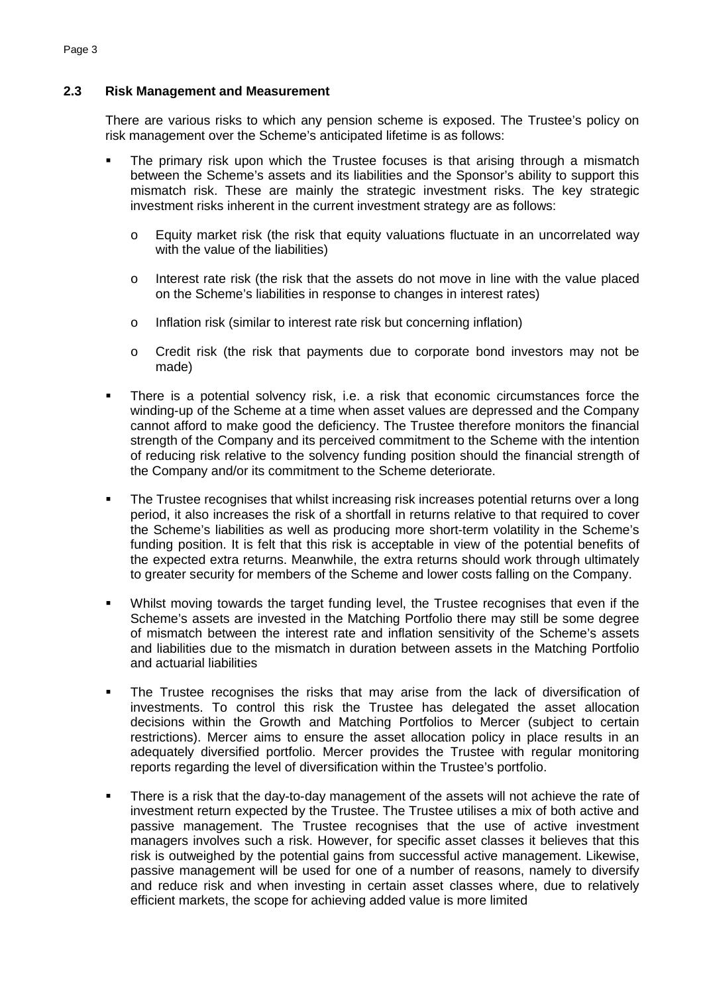## **2.3 Risk Management and Measurement**

There are various risks to which any pension scheme is exposed. The Trustee's policy on risk management over the Scheme's anticipated lifetime is as follows:

- The primary risk upon which the Trustee focuses is that arising through a mismatch between the Scheme's assets and its liabilities and the Sponsor's ability to support this mismatch risk. These are mainly the strategic investment risks. The key strategic investment risks inherent in the current investment strategy are as follows:
	- $\circ$  Equity market risk (the risk that equity valuations fluctuate in an uncorrelated way with the value of the liabilities)
	- $\circ$  Interest rate risk (the risk that the assets do not move in line with the value placed on the Scheme's liabilities in response to changes in interest rates)
	- o Inflation risk (similar to interest rate risk but concerning inflation)
	- o Credit risk (the risk that payments due to corporate bond investors may not be made)
- There is a potential solvency risk, i.e. a risk that economic circumstances force the winding-up of the Scheme at a time when asset values are depressed and the Company cannot afford to make good the deficiency. The Trustee therefore monitors the financial strength of the Company and its perceived commitment to the Scheme with the intention of reducing risk relative to the solvency funding position should the financial strength of the Company and/or its commitment to the Scheme deteriorate.
- The Trustee recognises that whilst increasing risk increases potential returns over a long period, it also increases the risk of a shortfall in returns relative to that required to cover the Scheme's liabilities as well as producing more short-term volatility in the Scheme's funding position. It is felt that this risk is acceptable in view of the potential benefits of the expected extra returns. Meanwhile, the extra returns should work through ultimately to greater security for members of the Scheme and lower costs falling on the Company.
- Whilst moving towards the target funding level, the Trustee recognises that even if the Scheme's assets are invested in the Matching Portfolio there may still be some degree of mismatch between the interest rate and inflation sensitivity of the Scheme's assets and liabilities due to the mismatch in duration between assets in the Matching Portfolio and actuarial liabilities
- The Trustee recognises the risks that may arise from the lack of diversification of investments. To control this risk the Trustee has delegated the asset allocation decisions within the Growth and Matching Portfolios to Mercer (subject to certain restrictions). Mercer aims to ensure the asset allocation policy in place results in an adequately diversified portfolio. Mercer provides the Trustee with regular monitoring reports regarding the level of diversification within the Trustee's portfolio.
- There is a risk that the day-to-day management of the assets will not achieve the rate of investment return expected by the Trustee. The Trustee utilises a mix of both active and passive management. The Trustee recognises that the use of active investment managers involves such a risk. However, for specific asset classes it believes that this risk is outweighed by the potential gains from successful active management. Likewise, passive management will be used for one of a number of reasons, namely to diversify and reduce risk and when investing in certain asset classes where, due to relatively efficient markets, the scope for achieving added value is more limited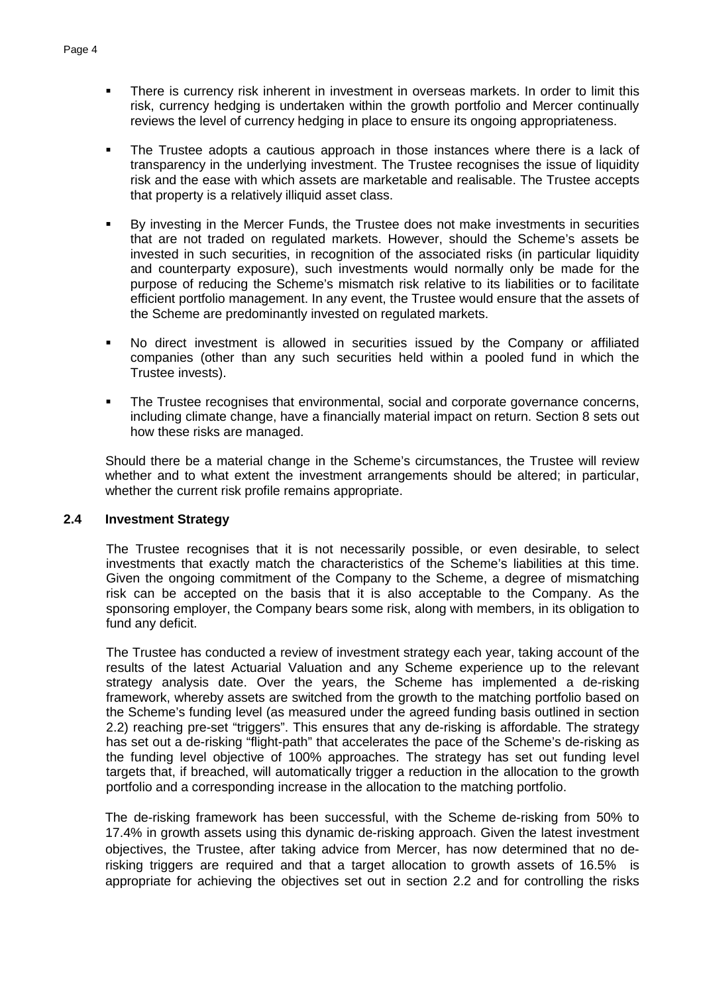- **There is currency risk inherent in investment in overseas markets. In order to limit this** risk, currency hedging is undertaken within the growth portfolio and Mercer continually reviews the level of currency hedging in place to ensure its ongoing appropriateness.
- The Trustee adopts a cautious approach in those instances where there is a lack of transparency in the underlying investment. The Trustee recognises the issue of liquidity risk and the ease with which assets are marketable and realisable. The Trustee accepts that property is a relatively illiquid asset class.
- By investing in the Mercer Funds, the Trustee does not make investments in securities that are not traded on regulated markets. However, should the Scheme's assets be invested in such securities, in recognition of the associated risks (in particular liquidity and counterparty exposure), such investments would normally only be made for the purpose of reducing the Scheme's mismatch risk relative to its liabilities or to facilitate efficient portfolio management. In any event, the Trustee would ensure that the assets of the Scheme are predominantly invested on regulated markets.
- No direct investment is allowed in securities issued by the Company or affiliated companies (other than any such securities held within a pooled fund in which the Trustee invests).
- The Trustee recognises that environmental, social and corporate governance concerns, including climate change, have a financially material impact on return. Section 8 sets out how these risks are managed.

Should there be a material change in the Scheme's circumstances, the Trustee will review whether and to what extent the investment arrangements should be altered; in particular, whether the current risk profile remains appropriate.

#### **2.4 Investment Strategy**

The Trustee recognises that it is not necessarily possible, or even desirable, to select investments that exactly match the characteristics of the Scheme's liabilities at this time. Given the ongoing commitment of the Company to the Scheme, a degree of mismatching risk can be accepted on the basis that it is also acceptable to the Company. As the sponsoring employer, the Company bears some risk, along with members, in its obligation to fund any deficit.

The Trustee has conducted a review of investment strategy each year, taking account of the results of the latest Actuarial Valuation and any Scheme experience up to the relevant strategy analysis date. Over the years, the Scheme has implemented a de-risking framework, whereby assets are switched from the growth to the matching portfolio based on the Scheme's funding level (as measured under the agreed funding basis outlined in section 2.2) reaching pre-set "triggers". This ensures that any de-risking is affordable. The strategy has set out a de-risking "flight-path" that accelerates the pace of the Scheme's de-risking as the funding level objective of 100% approaches. The strategy has set out funding level targets that, if breached, will automatically trigger a reduction in the allocation to the growth portfolio and a corresponding increase in the allocation to the matching portfolio.

The de-risking framework has been successful, with the Scheme de-risking from 50% to 17.4% in growth assets using this dynamic de-risking approach. Given the latest investment objectives, the Trustee, after taking advice from Mercer, has now determined that no derisking triggers are required and that a target allocation to growth assets of 16.5% is appropriate for achieving the objectives set out in section 2.2 and for controlling the risks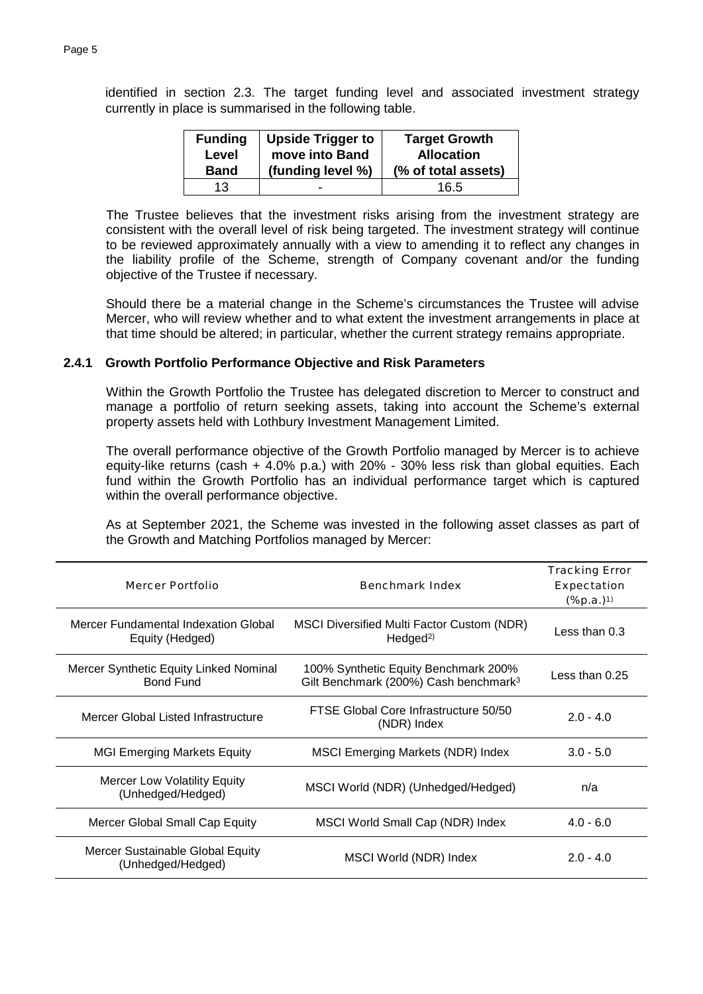Page 5

identified in section 2.3. The target funding level and associated investment strategy currently in place is summarised in the following table.

| <b>Funding</b> | <b>Upside Trigger to</b> | <b>Target Growth</b> |
|----------------|--------------------------|----------------------|
| Level          | move into Band           | <b>Allocation</b>    |
| <b>Band</b>    | (funding level %)        | (% of total assets)  |
| 13             | -                        | 16.5                 |

The Trustee believes that the investment risks arising from the investment strategy are consistent with the overall level of risk being targeted. The investment strategy will continue to be reviewed approximately annually with a view to amending it to reflect any changes in the liability profile of the Scheme, strength of Company covenant and/or the funding objective of the Trustee if necessary.

Should there be a material change in the Scheme's circumstances the Trustee will advise Mercer, who will review whether and to what extent the investment arrangements in place at that time should be altered; in particular, whether the current strategy remains appropriate.

### **2.4.1 Growth Portfolio Performance Objective and Risk Parameters**

Within the Growth Portfolio the Trustee has delegated discretion to Mercer to construct and manage a portfolio of return seeking assets, taking into account the Scheme's external property assets held with Lothbury Investment Management Limited.

The overall performance objective of the Growth Portfolio managed by Mercer is to achieve equity-like returns (cash + 4.0% p.a.) with 20% - 30% less risk than global equities. Each fund within the Growth Portfolio has an individual performance target which is captured within the overall performance objective.

As at September 2021, the Scheme was invested in the following asset classes as part of the Growth and Matching Portfolios managed by Mercer:

| Mercer Portfolio                                           | Benchmark Index                                                                           | <b>Tracking Error</b><br>Expectation<br>(%p.a.) <sup>1)</sup> |
|------------------------------------------------------------|-------------------------------------------------------------------------------------------|---------------------------------------------------------------|
| Mercer Fundamental Indexation Global<br>Equity (Hedged)    | <b>MSCI Diversified Multi Factor Custom (NDR)</b><br>Hedged <sup>2)</sup>                 | Less than 0.3                                                 |
| Mercer Synthetic Equity Linked Nominal<br><b>Bond Fund</b> | 100% Synthetic Equity Benchmark 200%<br>Gilt Benchmark (200%) Cash benchmark <sup>3</sup> | Less than 0.25                                                |
| Mercer Global Listed Infrastructure                        | FTSE Global Core Infrastructure 50/50<br>(NDR) Index                                      | $2.0 - 4.0$                                                   |
| <b>MGI Emerging Markets Equity</b>                         | MSCI Emerging Markets (NDR) Index                                                         | $3.0 - 5.0$                                                   |
| Mercer Low Volatility Equity<br>(Unhedged/Hedged)          | MSCI World (NDR) (Unhedged/Hedged)                                                        | n/a                                                           |
| Mercer Global Small Cap Equity                             | MSCI World Small Cap (NDR) Index                                                          | $4.0 - 6.0$                                                   |
| Mercer Sustainable Global Equity<br>(Unhedged/Hedged)      | MSCI World (NDR) Index                                                                    | $2.0 - 4.0$                                                   |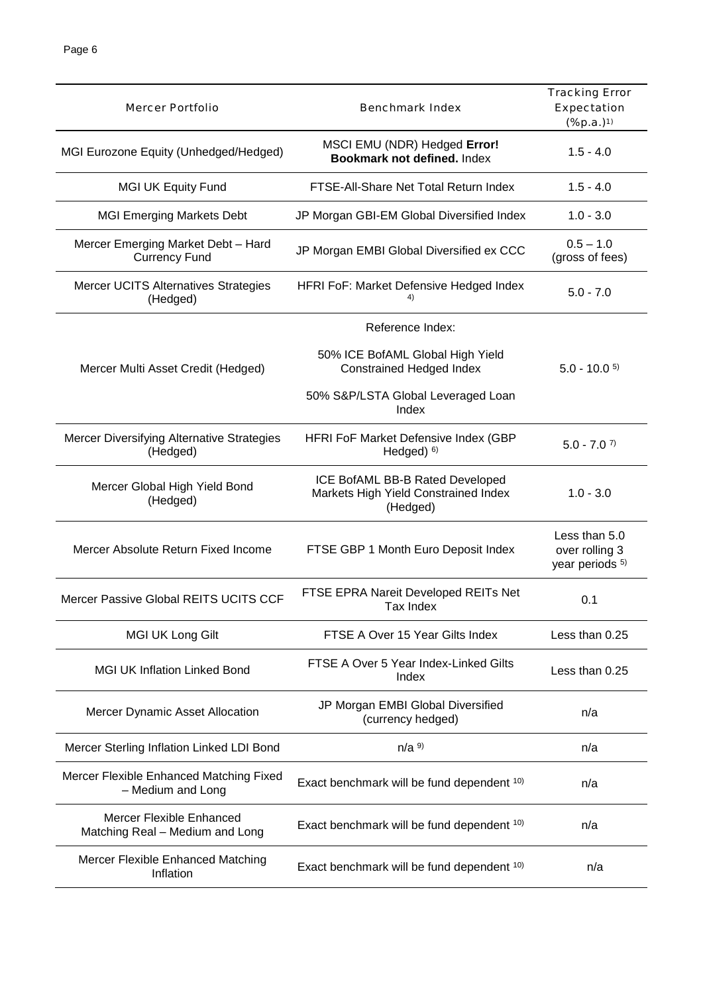| Mercer Portfolio                                                   | Benchmark Index                                                                     | <b>Tracking Error</b><br>Expectation<br>$(% ^{p}(x),a)=(x^{p-1},b)$ |
|--------------------------------------------------------------------|-------------------------------------------------------------------------------------|---------------------------------------------------------------------|
| MGI Eurozone Equity (Unhedged/Hedged)                              | MSCI EMU (NDR) Hedged Error!<br>Bookmark not defined. Index                         | $1.5 - 4.0$                                                         |
| <b>MGI UK Equity Fund</b>                                          | FTSE-All-Share Net Total Return Index                                               | $1.5 - 4.0$                                                         |
| <b>MGI Emerging Markets Debt</b>                                   | JP Morgan GBI-EM Global Diversified Index                                           | $1.0 - 3.0$                                                         |
| Mercer Emerging Market Debt - Hard<br><b>Currency Fund</b>         | JP Morgan EMBI Global Diversified ex CCC                                            | $0.5 - 1.0$<br>(gross of fees)                                      |
| <b>Mercer UCITS Alternatives Strategies</b><br>(Hedged)            | HFRI FoF: Market Defensive Hedged Index                                             | $5.0 - 7.0$                                                         |
|                                                                    | Reference Index:                                                                    |                                                                     |
| Mercer Multi Asset Credit (Hedged)                                 | 50% ICE BofAML Global High Yield<br><b>Constrained Hedged Index</b>                 | $5.0 - 10.0$ <sup>5)</sup>                                          |
|                                                                    | 50% S&P/LSTA Global Leveraged Loan<br>Index                                         |                                                                     |
| Mercer Diversifying Alternative Strategies<br>(Hedged)             | HFRI FoF Market Defensive Index (GBP<br>Hedged $)$ $6)$                             | $5.0 - 7.0$ <sup>7)</sup>                                           |
| Mercer Global High Yield Bond<br>(Hedged)                          | ICE BofAML BB-B Rated Developed<br>Markets High Yield Constrained Index<br>(Hedged) | $1.0 - 3.0$                                                         |
| Mercer Absolute Return Fixed Income                                | FTSE GBP 1 Month Euro Deposit Index                                                 | Less than 5.0<br>over rolling 3<br>year periods <sup>5)</sup>       |
| Mercer Passive Global REITS UCITS CCF                              | FTSE EPRA Nareit Developed REITs Net<br>Tax Index                                   | 0.1                                                                 |
| MGI UK Long Gilt                                                   | FTSE A Over 15 Year Gilts Index                                                     | Less than 0.25                                                      |
| <b>MGI UK Inflation Linked Bond</b>                                | FTSE A Over 5 Year Index-Linked Gilts<br>Index                                      | Less than 0.25                                                      |
| Mercer Dynamic Asset Allocation                                    | JP Morgan EMBI Global Diversified<br>(currency hedged)                              | n/a                                                                 |
| Mercer Sterling Inflation Linked LDI Bond                          | $n/a$ <sup>9)</sup>                                                                 | n/a                                                                 |
| Mercer Flexible Enhanced Matching Fixed<br>- Medium and Long       | Exact benchmark will be fund dependent 10)                                          | n/a                                                                 |
| <b>Mercer Flexible Enhanced</b><br>Matching Real - Medium and Long | Exact benchmark will be fund dependent 10)                                          | n/a                                                                 |
| Mercer Flexible Enhanced Matching<br>Inflation                     | Exact benchmark will be fund dependent 10)                                          | n/a                                                                 |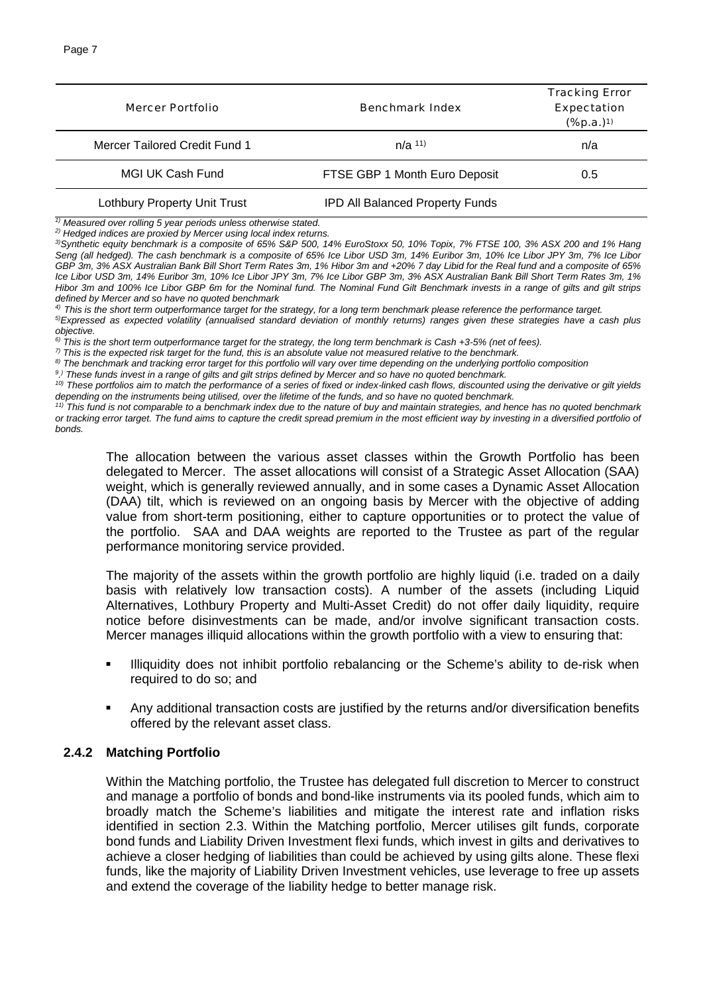| Mercer Portfolio              | Benchmark Index                        | <b>Tracking Error</b><br>Expectation<br>$(%1, 2)$ (%p.a.) <sup>1)</sup> |
|-------------------------------|----------------------------------------|-------------------------------------------------------------------------|
| Mercer Tailored Credit Fund 1 | $n/a$ <sup>11)</sup>                   | n/a                                                                     |
| MGI UK Cash Fund              | FTSE GBP 1 Month Euro Deposit          | 0.5                                                                     |
| Lothbury Property Unit Trust  | <b>IPD All Balanced Property Funds</b> |                                                                         |

*1) Measured over rolling 5 year periods unless otherwise stated.*

*2) Hedged indices are proxied by Mercer using local index returns.*

*3)Synthetic equity benchmark is a composite of 65% S&P 500, 14% EuroStoxx 50, 10% Topix, 7% FTSE 100, 3% ASX 200 and 1% Hang Seng (all hedged). The cash benchmark is a composite of 65% Ice Libor USD 3m, 14% Euribor 3m, 10% Ice Libor JPY 3m, 7% Ice Libor GBP 3m, 3% ASX Australian Bank Bill Short Term Rates 3m, 1% Hibor 3m and +20% 7 day Libid for the Real fund and a composite of 65% Ice Libor USD 3m, 14% Euribor 3m, 10% Ice Libor JPY 3m, 7% Ice Libor GBP 3m, 3% ASX Australian Bank Bill Short Term Rates 3m, 1% Hibor 3m and 100% Ice Libor GBP 6m for the Nominal fund. The Nominal Fund Gilt Benchmark invests in a range of gilts and gilt strips defined by Mercer and so have no quoted benchmark*

*4) This is the short term outperformance target for the strategy, for a long term benchmark please reference the performance target. 5)Expressed as expected volatility (annualised standard deviation of monthly returns) ranges given these strategies have a cash plus*

*objective. 6) This is the short term outperformance target for the strategy, the long term benchmark is Cash +3-5% (net of fees).*

*7) This is the expected risk target for the fund, this is an absolute value not measured relative to the benchmark.*

*8) The benchmark and tracking error target for this portfolio will vary over time depending on the underlying portfolio composition*

*9 . ) These funds invest in a range of gilts and gilt strips defined by Mercer and so have no quoted benchmark.*

*10) These portfolios aim to match the performance of a series of fixed or index-linked cash flows, discounted using the derivative or gilt yields depending on the instruments being utilised, over the lifetime of the funds, and so have no quoted benchmark.*

*11) This fund is not comparable to a benchmark index due to the nature of buy and maintain strategies, and hence has no quoted benchmark or tracking error target. The fund aims to capture the credit spread premium in the most efficient way by investing in a diversified portfolio of bonds.*

The allocation between the various asset classes within the Growth Portfolio has been delegated to Mercer. The asset allocations will consist of a Strategic Asset Allocation (SAA) weight, which is generally reviewed annually, and in some cases a Dynamic Asset Allocation (DAA) tilt, which is reviewed on an ongoing basis by Mercer with the objective of adding value from short-term positioning, either to capture opportunities or to protect the value of the portfolio. SAA and DAA weights are reported to the Trustee as part of the regular performance monitoring service provided.

The majority of the assets within the growth portfolio are highly liquid (i.e. traded on a daily basis with relatively low transaction costs). A number of the assets (including Liquid Alternatives, Lothbury Property and Multi-Asset Credit) do not offer daily liquidity, require notice before disinvestments can be made, and/or involve significant transaction costs. Mercer manages illiquid allocations within the growth portfolio with a view to ensuring that:

- **Illiquidity does not inhibit portfolio rebalancing or the Scheme's ability to de-risk when** required to do so; and
- Any additional transaction costs are justified by the returns and/or diversification benefits offered by the relevant asset class.

#### **2.4.2 Matching Portfolio**

Within the Matching portfolio, the Trustee has delegated full discretion to Mercer to construct and manage a portfolio of bonds and bond-like instruments via its pooled funds, which aim to broadly match the Scheme's liabilities and mitigate the interest rate and inflation risks identified in section 2.3. Within the Matching portfolio, Mercer utilises gilt funds, corporate bond funds and Liability Driven Investment flexi funds, which invest in gilts and derivatives to achieve a closer hedging of liabilities than could be achieved by using gilts alone. These flexi funds, like the majority of Liability Driven Investment vehicles, use leverage to free up assets and extend the coverage of the liability hedge to better manage risk.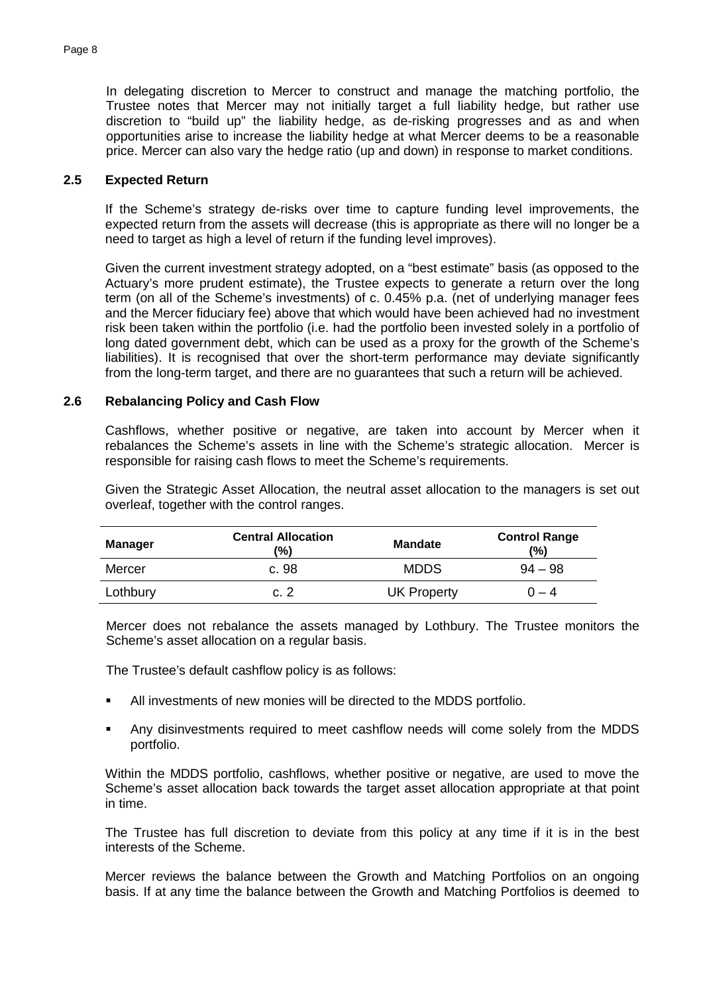In delegating discretion to Mercer to construct and manage the matching portfolio, the Trustee notes that Mercer may not initially target a full liability hedge, but rather use discretion to "build up" the liability hedge, as de-risking progresses and as and when opportunities arise to increase the liability hedge at what Mercer deems to be a reasonable price. Mercer can also vary the hedge ratio (up and down) in response to market conditions.

#### **2.5 Expected Return**

If the Scheme's strategy de-risks over time to capture funding level improvements, the expected return from the assets will decrease (this is appropriate as there will no longer be a need to target as high a level of return if the funding level improves).

Given the current investment strategy adopted, on a "best estimate" basis (as opposed to the Actuary's more prudent estimate), the Trustee expects to generate a return over the long term (on all of the Scheme's investments) of c. 0.45% p.a. (net of underlying manager fees and the Mercer fiduciary fee) above that which would have been achieved had no investment risk been taken within the portfolio (i.e. had the portfolio been invested solely in a portfolio of long dated government debt, which can be used as a proxy for the growth of the Scheme's liabilities). It is recognised that over the short-term performance may deviate significantly from the long-term target, and there are no guarantees that such a return will be achieved.

### **2.6 Rebalancing Policy and Cash Flow**

Cashflows, whether positive or negative, are taken into account by Mercer when it rebalances the Scheme's assets in line with the Scheme's strategic allocation. Mercer is responsible for raising cash flows to meet the Scheme's requirements.

Given the Strategic Asset Allocation, the neutral asset allocation to the managers is set out overleaf, together with the control ranges.

| <b>Manager</b> | <b>Central Allocation</b><br>(%) | <b>Mandate</b>     | <b>Control Range</b><br>(%) |
|----------------|----------------------------------|--------------------|-----------------------------|
| Mercer         | c. 98                            | <b>MDDS</b>        | $94 - 98$                   |
| Lothbury       | c. 2                             | <b>UK Property</b> | $0 - 4$                     |

Mercer does not rebalance the assets managed by Lothbury. The Trustee monitors the Scheme's asset allocation on a regular basis.

The Trustee's default cashflow policy is as follows:

- All investments of new monies will be directed to the MDDS portfolio.
- Any disinvestments required to meet cashflow needs will come solely from the MDDS portfolio.

Within the MDDS portfolio, cashflows, whether positive or negative, are used to move the Scheme's asset allocation back towards the target asset allocation appropriate at that point in time.

The Trustee has full discretion to deviate from this policy at any time if it is in the best interests of the Scheme.

Mercer reviews the balance between the Growth and Matching Portfolios on an ongoing basis. If at any time the balance between the Growth and Matching Portfolios is deemed to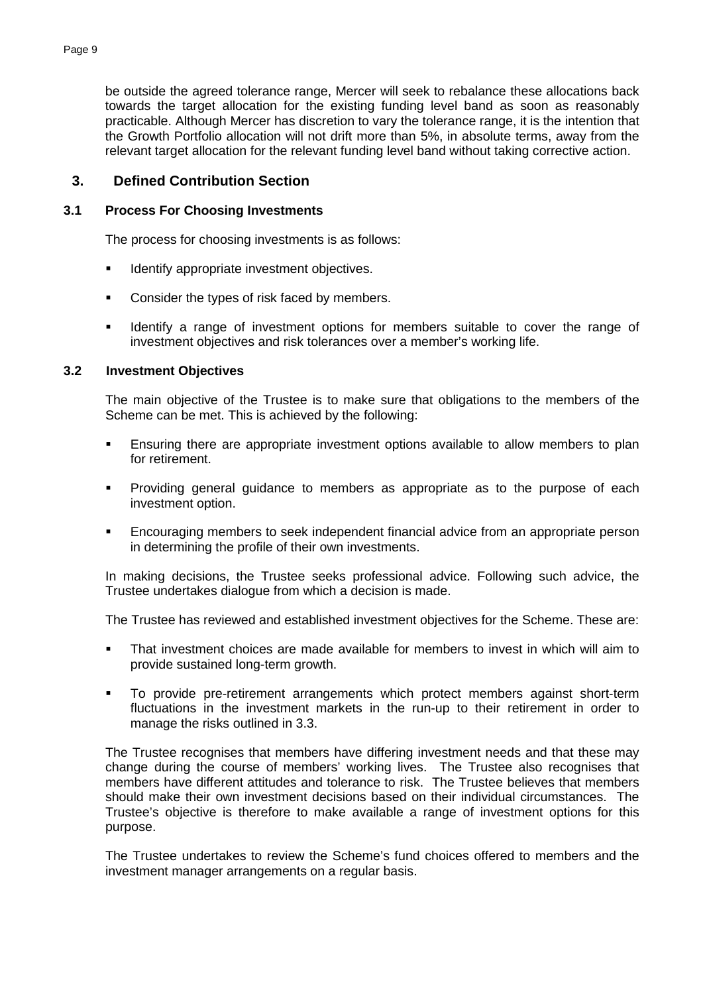be outside the agreed tolerance range, Mercer will seek to rebalance these allocations back towards the target allocation for the existing funding level band as soon as reasonably practicable. Although Mercer has discretion to vary the tolerance range, it is the intention that the Growth Portfolio allocation will not drift more than 5%, in absolute terms, away from the relevant target allocation for the relevant funding level band without taking corrective action.

## **3. Defined Contribution Section**

#### **3.1 Process For Choosing Investments**

The process for choosing investments is as follows:

- **IDENTIFY Appropriate investment objectives.**
- Consider the types of risk faced by members.
- **IDENT** Identify a range of investment options for members suitable to cover the range of investment objectives and risk tolerances over a member's working life.

#### **3.2 Investment Objectives**

The main objective of the Trustee is to make sure that obligations to the members of the Scheme can be met. This is achieved by the following:

- **Ensuring there are appropriate investment options available to allow members to plan** for retirement.
- Providing general guidance to members as appropriate as to the purpose of each investment option.
- **Encouraging members to seek independent financial advice from an appropriate person** in determining the profile of their own investments.

In making decisions, the Trustee seeks professional advice. Following such advice, the Trustee undertakes dialogue from which a decision is made.

The Trustee has reviewed and established investment objectives for the Scheme. These are:

- That investment choices are made available for members to invest in which will aim to provide sustained long-term growth.
- To provide pre-retirement arrangements which protect members against short-term fluctuations in the investment markets in the run-up to their retirement in order to manage the risks outlined in 3.3.

The Trustee recognises that members have differing investment needs and that these may change during the course of members' working lives. The Trustee also recognises that members have different attitudes and tolerance to risk. The Trustee believes that members should make their own investment decisions based on their individual circumstances. The Trustee's objective is therefore to make available a range of investment options for this purpose.

The Trustee undertakes to review the Scheme's fund choices offered to members and the investment manager arrangements on a regular basis.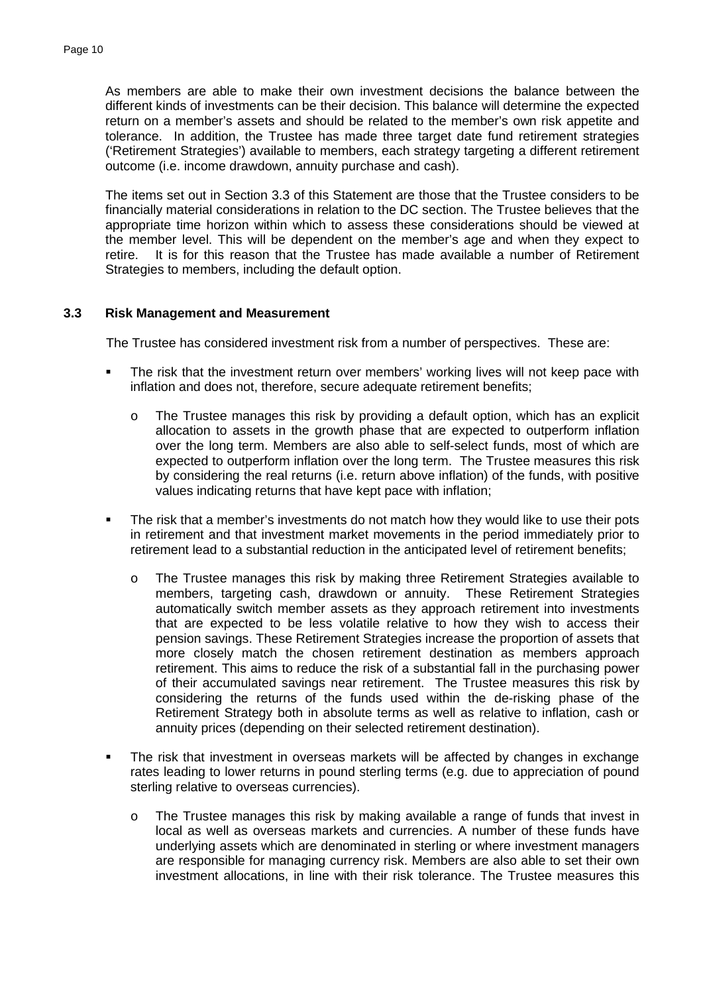As members are able to make their own investment decisions the balance between the different kinds of investments can be their decision. This balance will determine the expected return on a member's assets and should be related to the member's own risk appetite and tolerance. In addition, the Trustee has made three target date fund retirement strategies ('Retirement Strategies') available to members, each strategy targeting a different retirement outcome (i.e. income drawdown, annuity purchase and cash).

The items set out in Section 3.3 of this Statement are those that the Trustee considers to be financially material considerations in relation to the DC section. The Trustee believes that the appropriate time horizon within which to assess these considerations should be viewed at the member level. This will be dependent on the member's age and when they expect to retire. It is for this reason that the Trustee has made available a number of Retirement Strategies to members, including the default option.

#### **3.3 Risk Management and Measurement**

The Trustee has considered investment risk from a number of perspectives. These are:

- The risk that the investment return over members' working lives will not keep pace with inflation and does not, therefore, secure adequate retirement benefits;
	- o The Trustee manages this risk by providing a default option, which has an explicit allocation to assets in the growth phase that are expected to outperform inflation over the long term. Members are also able to self-select funds, most of which are expected to outperform inflation over the long term. The Trustee measures this risk by considering the real returns (i.e. return above inflation) of the funds, with positive values indicating returns that have kept pace with inflation;
- The risk that a member's investments do not match how they would like to use their pots in retirement and that investment market movements in the period immediately prior to retirement lead to a substantial reduction in the anticipated level of retirement benefits;
	- o The Trustee manages this risk by making three Retirement Strategies available to members, targeting cash, drawdown or annuity. These Retirement Strategies automatically switch member assets as they approach retirement into investments that are expected to be less volatile relative to how they wish to access their pension savings. These Retirement Strategies increase the proportion of assets that more closely match the chosen retirement destination as members approach retirement. This aims to reduce the risk of a substantial fall in the purchasing power of their accumulated savings near retirement. The Trustee measures this risk by considering the returns of the funds used within the de-risking phase of the Retirement Strategy both in absolute terms as well as relative to inflation, cash or annuity prices (depending on their selected retirement destination).
- The risk that investment in overseas markets will be affected by changes in exchange rates leading to lower returns in pound sterling terms (e.g. due to appreciation of pound sterling relative to overseas currencies).
	- o The Trustee manages this risk by making available a range of funds that invest in local as well as overseas markets and currencies. A number of these funds have underlying assets which are denominated in sterling or where investment managers are responsible for managing currency risk. Members are also able to set their own investment allocations, in line with their risk tolerance. The Trustee measures this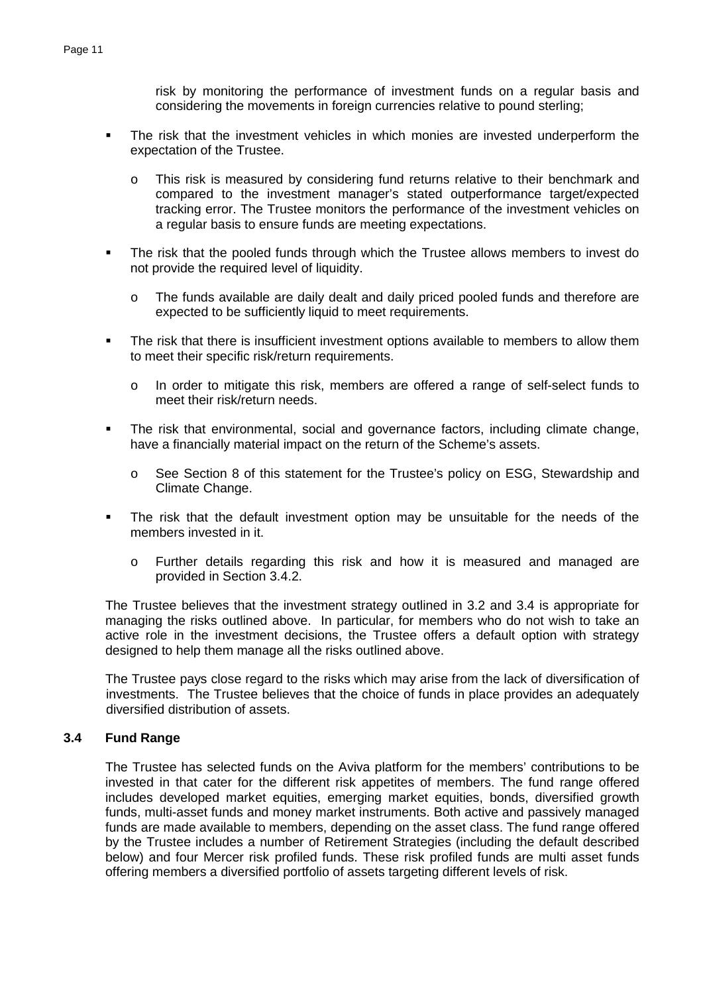risk by monitoring the performance of investment funds on a regular basis and considering the movements in foreign currencies relative to pound sterling;

- The risk that the investment vehicles in which monies are invested underperform the expectation of the Trustee.
	- o This risk is measured by considering fund returns relative to their benchmark and compared to the investment manager's stated outperformance target/expected tracking error. The Trustee monitors the performance of the investment vehicles on a regular basis to ensure funds are meeting expectations.
- The risk that the pooled funds through which the Trustee allows members to invest do not provide the required level of liquidity.
	- o The funds available are daily dealt and daily priced pooled funds and therefore are expected to be sufficiently liquid to meet requirements.
- **The risk that there is insufficient investment options available to members to allow them** to meet their specific risk/return requirements.
	- o In order to mitigate this risk, members are offered a range of self-select funds to meet their risk/return needs.
- The risk that environmental, social and governance factors, including climate change, have a financially material impact on the return of the Scheme's assets.
	- o See Section 8 of this statement for the Trustee's policy on ESG, Stewardship and Climate Change.
- The risk that the default investment option may be unsuitable for the needs of the members invested in it.
	- o Further details regarding this risk and how it is measured and managed are provided in Section 3.4.2.

The Trustee believes that the investment strategy outlined in 3.2 and 3.4 is appropriate for managing the risks outlined above. In particular, for members who do not wish to take an active role in the investment decisions, the Trustee offers a default option with strategy designed to help them manage all the risks outlined above.

The Trustee pays close regard to the risks which may arise from the lack of diversification of investments. The Trustee believes that the choice of funds in place provides an adequately diversified distribution of assets.

#### **3.4 Fund Range**

The Trustee has selected funds on the Aviva platform for the members' contributions to be invested in that cater for the different risk appetites of members. The fund range offered includes developed market equities, emerging market equities, bonds, diversified growth funds, multi-asset funds and money market instruments. Both active and passively managed funds are made available to members, depending on the asset class. The fund range offered by the Trustee includes a number of Retirement Strategies (including the default described below) and four Mercer risk profiled funds. These risk profiled funds are multi asset funds offering members a diversified portfolio of assets targeting different levels of risk.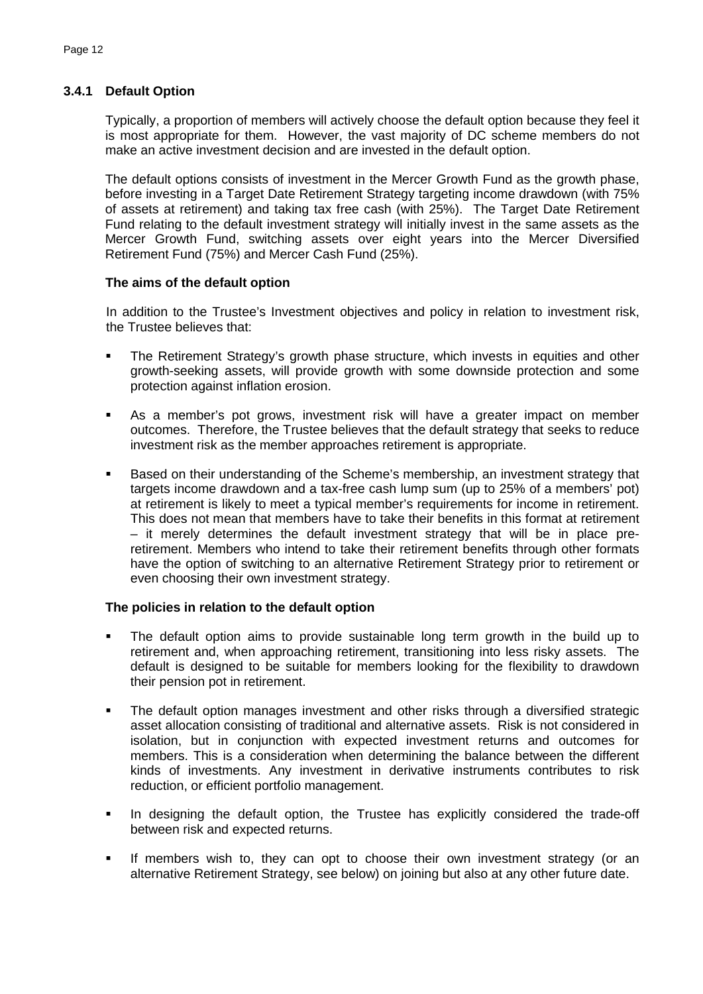## **3.4.1 Default Option**

Typically, a proportion of members will actively choose the default option because they feel it is most appropriate for them. However, the vast majority of DC scheme members do not make an active investment decision and are invested in the default option.

The default options consists of investment in the Mercer Growth Fund as the growth phase, before investing in a Target Date Retirement Strategy targeting income drawdown (with 75% of assets at retirement) and taking tax free cash (with 25%). The Target Date Retirement Fund relating to the default investment strategy will initially invest in the same assets as the Mercer Growth Fund, switching assets over eight years into the Mercer Diversified Retirement Fund (75%) and Mercer Cash Fund (25%).

#### **The aims of the default option**

In addition to the Trustee's Investment objectives and policy in relation to investment risk, the Trustee believes that:

- The Retirement Strategy's growth phase structure, which invests in equities and other growth-seeking assets, will provide growth with some downside protection and some protection against inflation erosion.
- As a member's pot grows, investment risk will have a greater impact on member outcomes. Therefore, the Trustee believes that the default strategy that seeks to reduce investment risk as the member approaches retirement is appropriate.
- Based on their understanding of the Scheme's membership, an investment strategy that targets income drawdown and a tax-free cash lump sum (up to 25% of a members' pot) at retirement is likely to meet a typical member's requirements for income in retirement. This does not mean that members have to take their benefits in this format at retirement – it merely determines the default investment strategy that will be in place preretirement. Members who intend to take their retirement benefits through other formats have the option of switching to an alternative Retirement Strategy prior to retirement or even choosing their own investment strategy.

### **The policies in relation to the default option**

- The default option aims to provide sustainable long term growth in the build up to retirement and, when approaching retirement, transitioning into less risky assets. The default is designed to be suitable for members looking for the flexibility to drawdown their pension pot in retirement.
- The default option manages investment and other risks through a diversified strategic asset allocation consisting of traditional and alternative assets. Risk is not considered in isolation, but in conjunction with expected investment returns and outcomes for members. This is a consideration when determining the balance between the different kinds of investments. Any investment in derivative instruments contributes to risk reduction, or efficient portfolio management.
- In designing the default option, the Trustee has explicitly considered the trade-off between risk and expected returns.
- **If members wish to, they can opt to choose their own investment strategy (or an** alternative Retirement Strategy, see below) on joining but also at any other future date.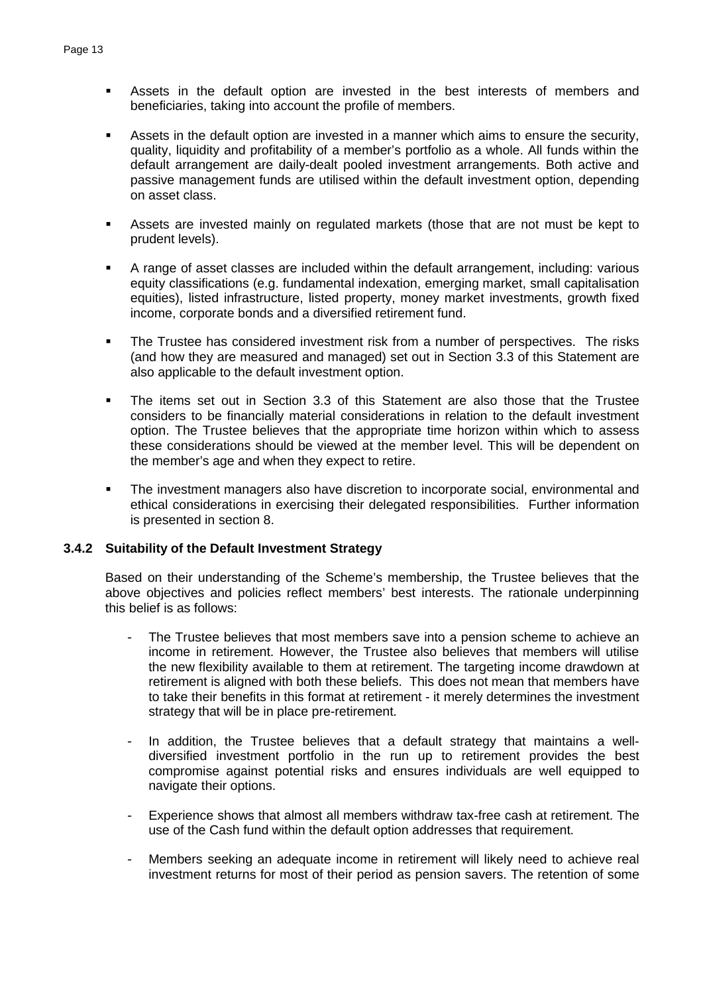- Assets in the default option are invested in the best interests of members and beneficiaries, taking into account the profile of members.
- Assets in the default option are invested in a manner which aims to ensure the security, quality, liquidity and profitability of a member's portfolio as a whole. All funds within the default arrangement are daily-dealt pooled investment arrangements. Both active and passive management funds are utilised within the default investment option, depending on asset class.
- Assets are invested mainly on regulated markets (those that are not must be kept to prudent levels).
- A range of asset classes are included within the default arrangement, including: various equity classifications (e.g. fundamental indexation, emerging market, small capitalisation equities), listed infrastructure, listed property, money market investments, growth fixed income, corporate bonds and a diversified retirement fund.
- The Trustee has considered investment risk from a number of perspectives. The risks (and how they are measured and managed) set out in Section 3.3 of this Statement are also applicable to the default investment option.
- The items set out in Section 3.3 of this Statement are also those that the Trustee considers to be financially material considerations in relation to the default investment option. The Trustee believes that the appropriate time horizon within which to assess these considerations should be viewed at the member level. This will be dependent on the member's age and when they expect to retire.
- The investment managers also have discretion to incorporate social, environmental and ethical considerations in exercising their delegated responsibilities. Further information is presented in section 8.

#### **3.4.2 Suitability of the Default Investment Strategy**

Based on their understanding of the Scheme's membership, the Trustee believes that the above objectives and policies reflect members' best interests. The rationale underpinning this belief is as follows:

- The Trustee believes that most members save into a pension scheme to achieve an income in retirement. However, the Trustee also believes that members will utilise the new flexibility available to them at retirement. The targeting income drawdown at retirement is aligned with both these beliefs. This does not mean that members have to take their benefits in this format at retirement - it merely determines the investment strategy that will be in place pre-retirement.
- In addition, the Trustee believes that a default strategy that maintains a welldiversified investment portfolio in the run up to retirement provides the best compromise against potential risks and ensures individuals are well equipped to navigate their options.
- Experience shows that almost all members withdraw tax-free cash at retirement. The use of the Cash fund within the default option addresses that requirement.
- Members seeking an adequate income in retirement will likely need to achieve real investment returns for most of their period as pension savers. The retention of some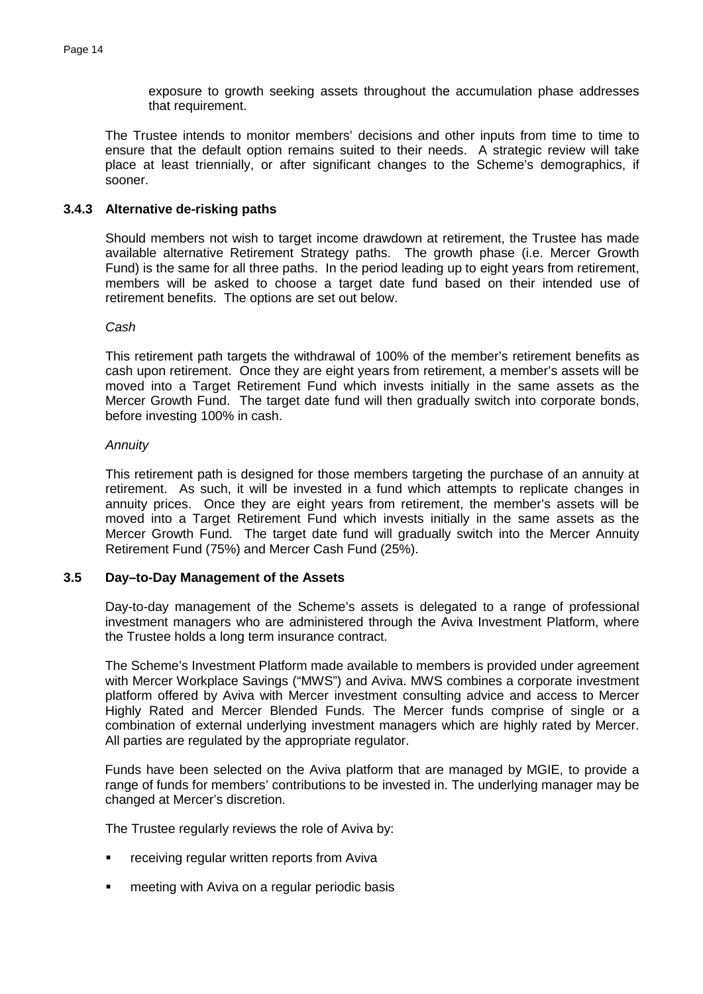exposure to growth seeking assets throughout the accumulation phase addresses that requirement.

The Trustee intends to monitor members' decisions and other inputs from time to time to ensure that the default option remains suited to their needs. A strategic review will take place at least triennially, or after significant changes to the Scheme's demographics, if sooner.

#### **3.4.3 Alternative de-risking paths**

Should members not wish to target income drawdown at retirement, the Trustee has made available alternative Retirement Strategy paths. The growth phase (i.e. Mercer Growth Fund) is the same for all three paths. In the period leading up to eight years from retirement, members will be asked to choose a target date fund based on their intended use of retirement benefits. The options are set out below.

#### *Cash*

This retirement path targets the withdrawal of 100% of the member's retirement benefits as cash upon retirement. Once they are eight years from retirement, a member's assets will be moved into a Target Retirement Fund which invests initially in the same assets as the Mercer Growth Fund. The target date fund will then gradually switch into corporate bonds, before investing 100% in cash.

#### *Annuity*

This retirement path is designed for those members targeting the purchase of an annuity at retirement. As such, it will be invested in a fund which attempts to replicate changes in annuity prices. Once they are eight years from retirement, the member's assets will be moved into a Target Retirement Fund which invests initially in the same assets as the Mercer Growth Fund. The target date fund will gradually switch into the Mercer Annuity Retirement Fund (75%) and Mercer Cash Fund (25%).

#### **3.5 Day–to-Day Management of the Assets**

Day-to-day management of the Scheme's assets is delegated to a range of professional investment managers who are administered through the Aviva Investment Platform, where the Trustee holds a long term insurance contract.

The Scheme's Investment Platform made available to members is provided under agreement with Mercer Workplace Savings ("MWS") and Aviva. MWS combines a corporate investment platform offered by Aviva with Mercer investment consulting advice and access to Mercer Highly Rated and Mercer Blended Funds. The Mercer funds comprise of single or a combination of external underlying investment managers which are highly rated by Mercer. All parties are regulated by the appropriate regulator.

Funds have been selected on the Aviva platform that are managed by MGIE, to provide a range of funds for members' contributions to be invested in. The underlying manager may be changed at Mercer's discretion.

The Trustee regularly reviews the role of Aviva by:

- **F** receiving regular written reports from Aviva
- **EXECT** meeting with Aviva on a regular periodic basis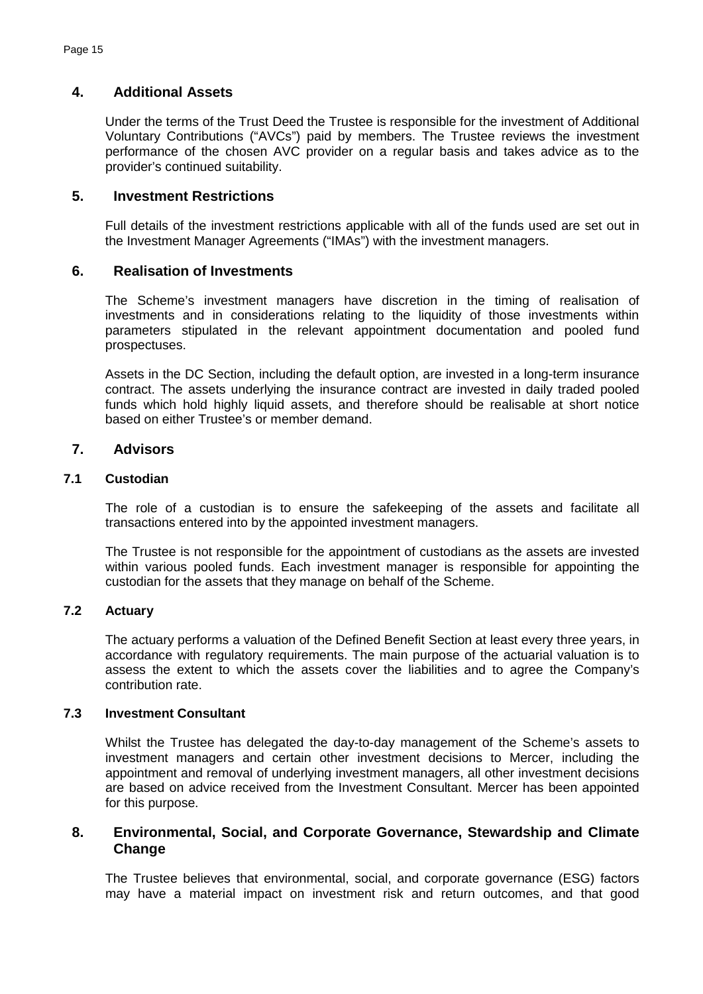## **4. Additional Assets**

Under the terms of the Trust Deed the Trustee is responsible for the investment of Additional Voluntary Contributions ("AVCs") paid by members. The Trustee reviews the investment performance of the chosen AVC provider on a regular basis and takes advice as to the provider's continued suitability.

## **5. Investment Restrictions**

Full details of the investment restrictions applicable with all of the funds used are set out in the Investment Manager Agreements ("IMAs") with the investment managers.

### **6. Realisation of Investments**

The Scheme's investment managers have discretion in the timing of realisation of investments and in considerations relating to the liquidity of those investments within parameters stipulated in the relevant appointment documentation and pooled fund prospectuses.

Assets in the DC Section, including the default option, are invested in a long-term insurance contract. The assets underlying the insurance contract are invested in daily traded pooled funds which hold highly liquid assets, and therefore should be realisable at short notice based on either Trustee's or member demand.

## **7. Advisors**

## **7.1 Custodian**

The role of a custodian is to ensure the safekeeping of the assets and facilitate all transactions entered into by the appointed investment managers.

The Trustee is not responsible for the appointment of custodians as the assets are invested within various pooled funds. Each investment manager is responsible for appointing the custodian for the assets that they manage on behalf of the Scheme.

### **7.2 Actuary**

The actuary performs a valuation of the Defined Benefit Section at least every three years, in accordance with regulatory requirements. The main purpose of the actuarial valuation is to assess the extent to which the assets cover the liabilities and to agree the Company's contribution rate.

### **7.3 Investment Consultant**

Whilst the Trustee has delegated the day-to-day management of the Scheme's assets to investment managers and certain other investment decisions to Mercer, including the appointment and removal of underlying investment managers, all other investment decisions are based on advice received from the Investment Consultant. Mercer has been appointed for this purpose.

## **8. Environmental, Social, and Corporate Governance, Stewardship and Climate Change**

The Trustee believes that environmental, social, and corporate governance (ESG) factors may have a material impact on investment risk and return outcomes, and that good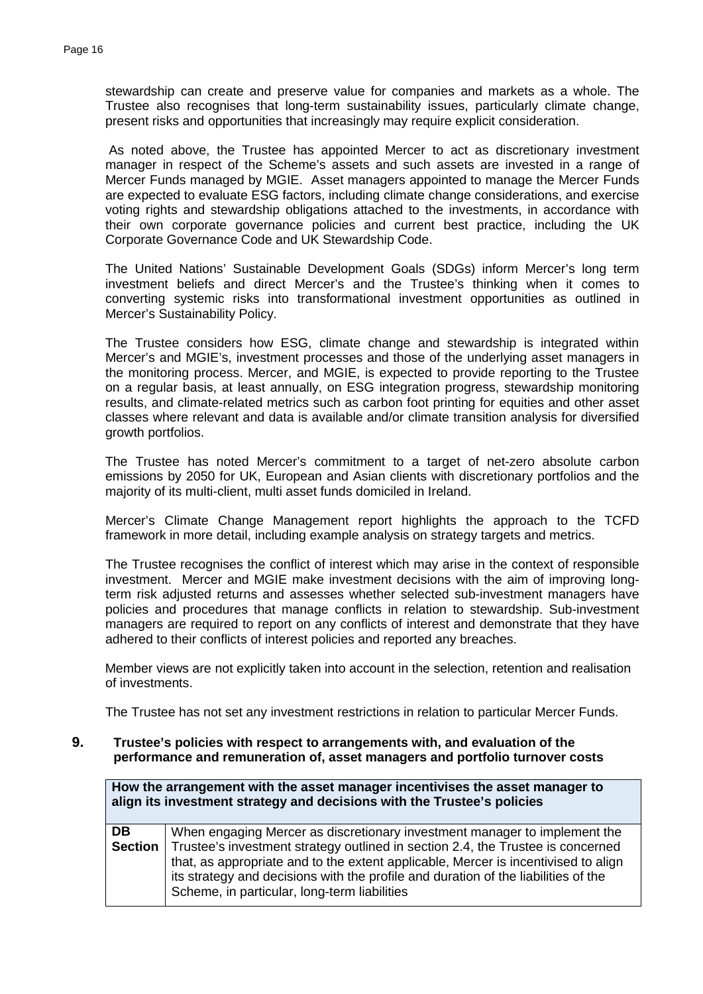stewardship can create and preserve value for companies and markets as a whole. The Trustee also recognises that long-term sustainability issues, particularly climate change, present risks and opportunities that increasingly may require explicit consideration.

 As noted above, the Trustee has appointed Mercer to act as discretionary investment manager in respect of the Scheme's assets and such assets are invested in a range of Mercer Funds managed by MGIE. Asset managers appointed to manage the Mercer Funds are expected to evaluate ESG factors, including climate change considerations, and exercise voting rights and stewardship obligations attached to the investments, in accordance with their own corporate governance policies and current best practice, including the UK Corporate Governance Code and UK Stewardship Code.

The United Nations' Sustainable Development Goals (SDGs) inform Mercer's long term investment beliefs and direct Mercer's and the Trustee's thinking when it comes to converting systemic risks into transformational investment opportunities as outlined in Mercer's Sustainability Policy.

The Trustee considers how ESG, climate change and stewardship is integrated within Mercer's and MGIE's, investment processes and those of the underlying asset managers in the monitoring process. Mercer, and MGIE, is expected to provide reporting to the Trustee on a regular basis, at least annually, on ESG integration progress, stewardship monitoring results, and climate-related metrics such as carbon foot printing for equities and other asset classes where relevant and data is available and/or climate transition analysis for diversified growth portfolios.

The Trustee has noted Mercer's commitment to a target of net-zero absolute carbon emissions by 2050 for UK, European and Asian clients with discretionary portfolios and the majority of its multi-client, multi asset funds domiciled in Ireland.

 Mercer's Climate Change Management report highlights the approach to the TCFD framework in more detail, including example analysis on strategy targets and metrics.

 The Trustee recognises the conflict of interest which may arise in the context of responsible investment. Mercer and MGIE make investment decisions with the aim of improving longterm risk adjusted returns and assesses whether selected sub-investment managers have policies and procedures that manage conflicts in relation to stewardship. Sub-investment managers are required to report on any conflicts of interest and demonstrate that they have adhered to their conflicts of interest policies and reported any breaches.

Member views are not explicitly taken into account in the selection, retention and realisation of investments.

The Trustee has not set any investment restrictions in relation to particular Mercer Funds.

#### **9. Trustee's policies with respect to arrangements with, and evaluation of the performance and remuneration of, asset managers and portfolio turnover costs**

| How the arrangement with the asset manager incentivises the asset manager to<br>align its investment strategy and decisions with the Trustee's policies |                                                                                                                                                                                                                                                                                                                                                                                          |  |
|---------------------------------------------------------------------------------------------------------------------------------------------------------|------------------------------------------------------------------------------------------------------------------------------------------------------------------------------------------------------------------------------------------------------------------------------------------------------------------------------------------------------------------------------------------|--|
| DB.<br>Section                                                                                                                                          | When engaging Mercer as discretionary investment manager to implement the<br>Trustee's investment strategy outlined in section 2.4, the Trustee is concerned<br>that, as appropriate and to the extent applicable, Mercer is incentivised to align<br>its strategy and decisions with the profile and duration of the liabilities of the<br>Scheme, in particular, long-term liabilities |  |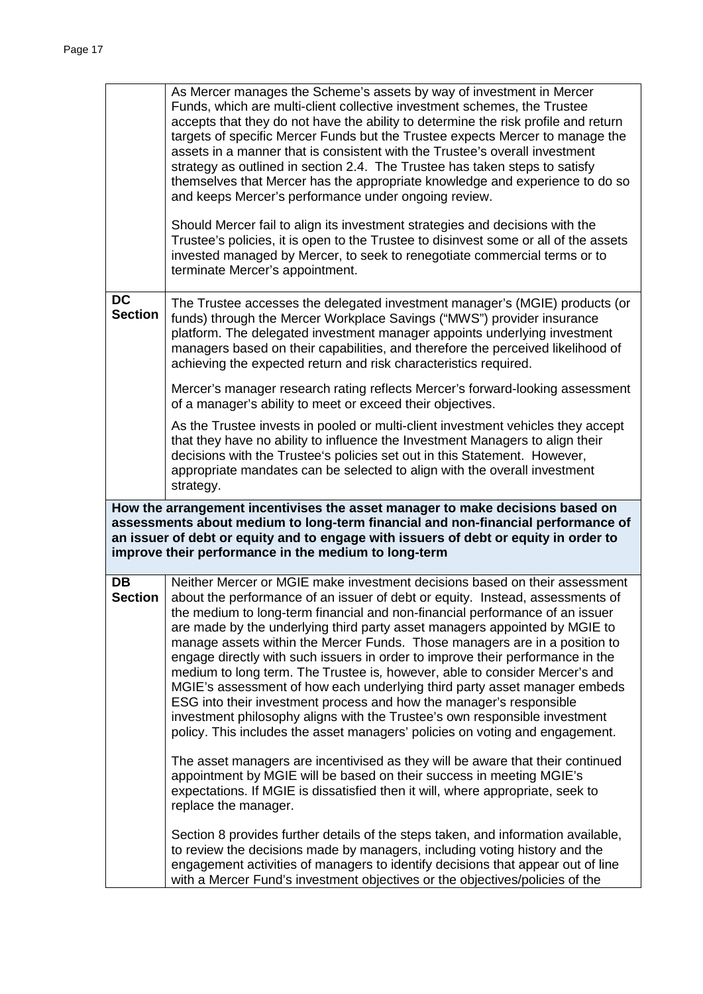|                                                                                                                                                                                                                                                                                                                   | As Mercer manages the Scheme's assets by way of investment in Mercer<br>Funds, which are multi-client collective investment schemes, the Trustee<br>accepts that they do not have the ability to determine the risk profile and return<br>targets of specific Mercer Funds but the Trustee expects Mercer to manage the<br>assets in a manner that is consistent with the Trustee's overall investment<br>strategy as outlined in section 2.4. The Trustee has taken steps to satisfy<br>themselves that Mercer has the appropriate knowledge and experience to do so<br>and keeps Mercer's performance under ongoing review.                                                                                                                                                                                                                                                              |  |  |
|-------------------------------------------------------------------------------------------------------------------------------------------------------------------------------------------------------------------------------------------------------------------------------------------------------------------|--------------------------------------------------------------------------------------------------------------------------------------------------------------------------------------------------------------------------------------------------------------------------------------------------------------------------------------------------------------------------------------------------------------------------------------------------------------------------------------------------------------------------------------------------------------------------------------------------------------------------------------------------------------------------------------------------------------------------------------------------------------------------------------------------------------------------------------------------------------------------------------------|--|--|
|                                                                                                                                                                                                                                                                                                                   | Should Mercer fail to align its investment strategies and decisions with the<br>Trustee's policies, it is open to the Trustee to disinvest some or all of the assets<br>invested managed by Mercer, to seek to renegotiate commercial terms or to<br>terminate Mercer's appointment.                                                                                                                                                                                                                                                                                                                                                                                                                                                                                                                                                                                                       |  |  |
| <b>DC</b><br><b>Section</b>                                                                                                                                                                                                                                                                                       | The Trustee accesses the delegated investment manager's (MGIE) products (or<br>funds) through the Mercer Workplace Savings ("MWS") provider insurance<br>platform. The delegated investment manager appoints underlying investment<br>managers based on their capabilities, and therefore the perceived likelihood of<br>achieving the expected return and risk characteristics required.                                                                                                                                                                                                                                                                                                                                                                                                                                                                                                  |  |  |
|                                                                                                                                                                                                                                                                                                                   | Mercer's manager research rating reflects Mercer's forward-looking assessment<br>of a manager's ability to meet or exceed their objectives.                                                                                                                                                                                                                                                                                                                                                                                                                                                                                                                                                                                                                                                                                                                                                |  |  |
|                                                                                                                                                                                                                                                                                                                   | As the Trustee invests in pooled or multi-client investment vehicles they accept<br>that they have no ability to influence the Investment Managers to align their<br>decisions with the Trustee's policies set out in this Statement. However,<br>appropriate mandates can be selected to align with the overall investment<br>strategy.                                                                                                                                                                                                                                                                                                                                                                                                                                                                                                                                                   |  |  |
| How the arrangement incentivises the asset manager to make decisions based on<br>assessments about medium to long-term financial and non-financial performance of<br>an issuer of debt or equity and to engage with issuers of debt or equity in order to<br>improve their performance in the medium to long-term |                                                                                                                                                                                                                                                                                                                                                                                                                                                                                                                                                                                                                                                                                                                                                                                                                                                                                            |  |  |
| <b>DB</b><br><b>Section</b>                                                                                                                                                                                                                                                                                       | Neither Mercer or MGIE make investment decisions based on their assessment<br>about the performance of an issuer of debt or equity. Instead, assessments of<br>the medium to long-term financial and non-financial performance of an issuer<br>are made by the underlying third party asset managers appointed by MGIE to<br>manage assets within the Mercer Funds. Those managers are in a position to<br>engage directly with such issuers in order to improve their performance in the<br>medium to long term. The Trustee is, however, able to consider Mercer's and<br>MGIE's assessment of how each underlying third party asset manager embeds<br>ESG into their investment process and how the manager's responsible<br>investment philosophy aligns with the Trustee's own responsible investment<br>policy. This includes the asset managers' policies on voting and engagement. |  |  |
|                                                                                                                                                                                                                                                                                                                   | The asset managers are incentivised as they will be aware that their continued<br>appointment by MGIE will be based on their success in meeting MGIE's<br>expectations. If MGIE is dissatisfied then it will, where appropriate, seek to<br>replace the manager.                                                                                                                                                                                                                                                                                                                                                                                                                                                                                                                                                                                                                           |  |  |
|                                                                                                                                                                                                                                                                                                                   | Section 8 provides further details of the steps taken, and information available,<br>to review the decisions made by managers, including voting history and the<br>engagement activities of managers to identify decisions that appear out of line<br>with a Mercer Fund's investment objectives or the objectives/policies of the                                                                                                                                                                                                                                                                                                                                                                                                                                                                                                                                                         |  |  |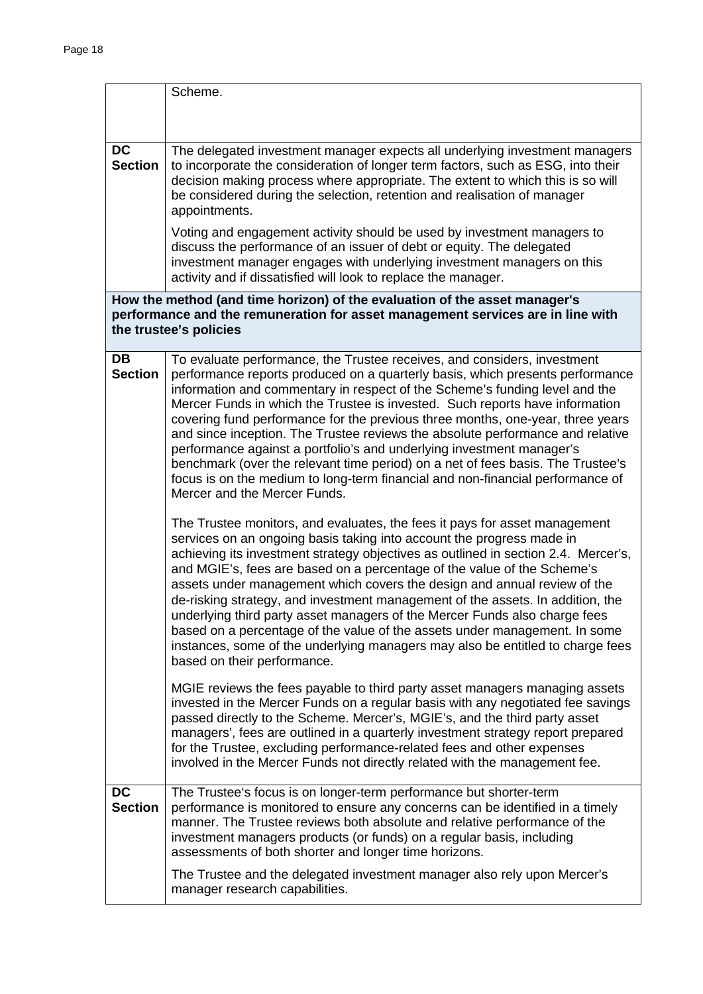|                             | Scheme.                                                                                                                                                                                                                                                                                                                                                                                                                                                                                                                                                                                                                                                                                                                                                                    |  |  |
|-----------------------------|----------------------------------------------------------------------------------------------------------------------------------------------------------------------------------------------------------------------------------------------------------------------------------------------------------------------------------------------------------------------------------------------------------------------------------------------------------------------------------------------------------------------------------------------------------------------------------------------------------------------------------------------------------------------------------------------------------------------------------------------------------------------------|--|--|
|                             |                                                                                                                                                                                                                                                                                                                                                                                                                                                                                                                                                                                                                                                                                                                                                                            |  |  |
|                             |                                                                                                                                                                                                                                                                                                                                                                                                                                                                                                                                                                                                                                                                                                                                                                            |  |  |
| <b>DC</b><br><b>Section</b> | The delegated investment manager expects all underlying investment managers<br>to incorporate the consideration of longer term factors, such as ESG, into their<br>decision making process where appropriate. The extent to which this is so will<br>be considered during the selection, retention and realisation of manager<br>appointments.                                                                                                                                                                                                                                                                                                                                                                                                                             |  |  |
|                             | Voting and engagement activity should be used by investment managers to<br>discuss the performance of an issuer of debt or equity. The delegated<br>investment manager engages with underlying investment managers on this<br>activity and if dissatisfied will look to replace the manager.                                                                                                                                                                                                                                                                                                                                                                                                                                                                               |  |  |
|                             | How the method (and time horizon) of the evaluation of the asset manager's<br>performance and the remuneration for asset management services are in line with<br>the trustee's policies                                                                                                                                                                                                                                                                                                                                                                                                                                                                                                                                                                                    |  |  |
| <b>DB</b><br><b>Section</b> | To evaluate performance, the Trustee receives, and considers, investment<br>performance reports produced on a quarterly basis, which presents performance<br>information and commentary in respect of the Scheme's funding level and the<br>Mercer Funds in which the Trustee is invested. Such reports have information<br>covering fund performance for the previous three months, one-year, three years<br>and since inception. The Trustee reviews the absolute performance and relative<br>performance against a portfolio's and underlying investment manager's<br>benchmark (over the relevant time period) on a net of fees basis. The Trustee's<br>focus is on the medium to long-term financial and non-financial performance of<br>Mercer and the Mercer Funds. |  |  |
|                             | The Trustee monitors, and evaluates, the fees it pays for asset management<br>services on an ongoing basis taking into account the progress made in<br>achieving its investment strategy objectives as outlined in section 2.4. Mercer's,<br>and MGIE's, fees are based on a percentage of the value of the Scheme's<br>assets under management which covers the design and annual review of the<br>de-risking strategy, and investment management of the assets. In addition, the<br>underlying third party asset managers of the Mercer Funds also charge fees<br>based on a percentage of the value of the assets under management. In some<br>instances, some of the underlying managers may also be entitled to charge fees<br>based on their performance.            |  |  |
|                             | MGIE reviews the fees payable to third party asset managers managing assets<br>invested in the Mercer Funds on a regular basis with any negotiated fee savings<br>passed directly to the Scheme. Mercer's, MGIE's, and the third party asset<br>managers', fees are outlined in a quarterly investment strategy report prepared<br>for the Trustee, excluding performance-related fees and other expenses<br>involved in the Mercer Funds not directly related with the management fee.                                                                                                                                                                                                                                                                                    |  |  |
| <b>DC</b><br><b>Section</b> | The Trustee's focus is on longer-term performance but shorter-term<br>performance is monitored to ensure any concerns can be identified in a timely<br>manner. The Trustee reviews both absolute and relative performance of the<br>investment managers products (or funds) on a regular basis, including<br>assessments of both shorter and longer time horizons.                                                                                                                                                                                                                                                                                                                                                                                                         |  |  |
|                             | The Trustee and the delegated investment manager also rely upon Mercer's<br>manager research capabilities.                                                                                                                                                                                                                                                                                                                                                                                                                                                                                                                                                                                                                                                                 |  |  |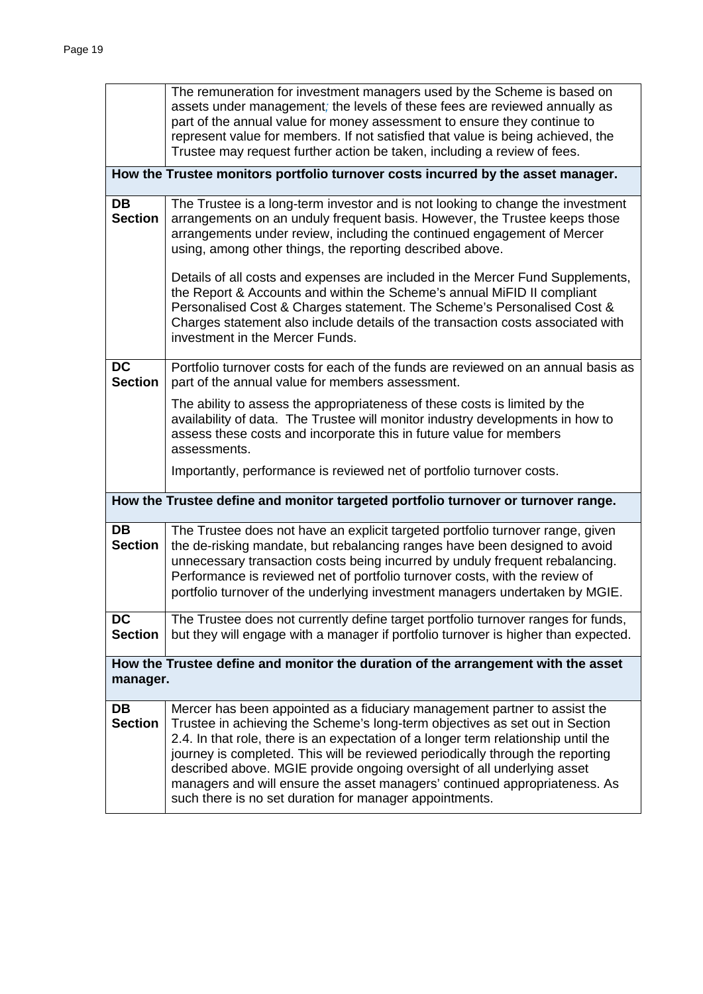|                                                                                               | The remuneration for investment managers used by the Scheme is based on<br>assets under management; the levels of these fees are reviewed annually as<br>part of the annual value for money assessment to ensure they continue to<br>represent value for members. If not satisfied that value is being achieved, the<br>Trustee may request further action be taken, including a review of fees.                                                                                                                                                      |  |
|-----------------------------------------------------------------------------------------------|-------------------------------------------------------------------------------------------------------------------------------------------------------------------------------------------------------------------------------------------------------------------------------------------------------------------------------------------------------------------------------------------------------------------------------------------------------------------------------------------------------------------------------------------------------|--|
|                                                                                               | How the Trustee monitors portfolio turnover costs incurred by the asset manager.                                                                                                                                                                                                                                                                                                                                                                                                                                                                      |  |
| <b>DB</b><br><b>Section</b>                                                                   | The Trustee is a long-term investor and is not looking to change the investment<br>arrangements on an unduly frequent basis. However, the Trustee keeps those<br>arrangements under review, including the continued engagement of Mercer<br>using, among other things, the reporting described above.                                                                                                                                                                                                                                                 |  |
|                                                                                               | Details of all costs and expenses are included in the Mercer Fund Supplements,<br>the Report & Accounts and within the Scheme's annual MiFID II compliant<br>Personalised Cost & Charges statement. The Scheme's Personalised Cost &<br>Charges statement also include details of the transaction costs associated with<br>investment in the Mercer Funds.                                                                                                                                                                                            |  |
| <b>DC</b><br><b>Section</b>                                                                   | Portfolio turnover costs for each of the funds are reviewed on an annual basis as<br>part of the annual value for members assessment.                                                                                                                                                                                                                                                                                                                                                                                                                 |  |
|                                                                                               | The ability to assess the appropriateness of these costs is limited by the<br>availability of data. The Trustee will monitor industry developments in how to<br>assess these costs and incorporate this in future value for members<br>assessments.                                                                                                                                                                                                                                                                                                   |  |
|                                                                                               | Importantly, performance is reviewed net of portfolio turnover costs.                                                                                                                                                                                                                                                                                                                                                                                                                                                                                 |  |
|                                                                                               | How the Trustee define and monitor targeted portfolio turnover or turnover range.                                                                                                                                                                                                                                                                                                                                                                                                                                                                     |  |
| <b>DB</b><br><b>Section</b>                                                                   | The Trustee does not have an explicit targeted portfolio turnover range, given<br>the de-risking mandate, but rebalancing ranges have been designed to avoid<br>unnecessary transaction costs being incurred by unduly frequent rebalancing.<br>Performance is reviewed net of portfolio turnover costs, with the review of<br>portfolio turnover of the underlying investment managers undertaken by MGIE.                                                                                                                                           |  |
| <b>DC</b><br><b>Section</b>                                                                   | The Trustee does not currently define target portfolio turnover ranges for funds,<br>but they will engage with a manager if portfolio turnover is higher than expected.                                                                                                                                                                                                                                                                                                                                                                               |  |
| How the Trustee define and monitor the duration of the arrangement with the asset<br>manager. |                                                                                                                                                                                                                                                                                                                                                                                                                                                                                                                                                       |  |
| DB<br><b>Section</b>                                                                          | Mercer has been appointed as a fiduciary management partner to assist the<br>Trustee in achieving the Scheme's long-term objectives as set out in Section<br>2.4. In that role, there is an expectation of a longer term relationship until the<br>journey is completed. This will be reviewed periodically through the reporting<br>described above. MGIE provide ongoing oversight of all underlying asset<br>managers and will ensure the asset managers' continued appropriateness. As<br>such there is no set duration for manager appointments. |  |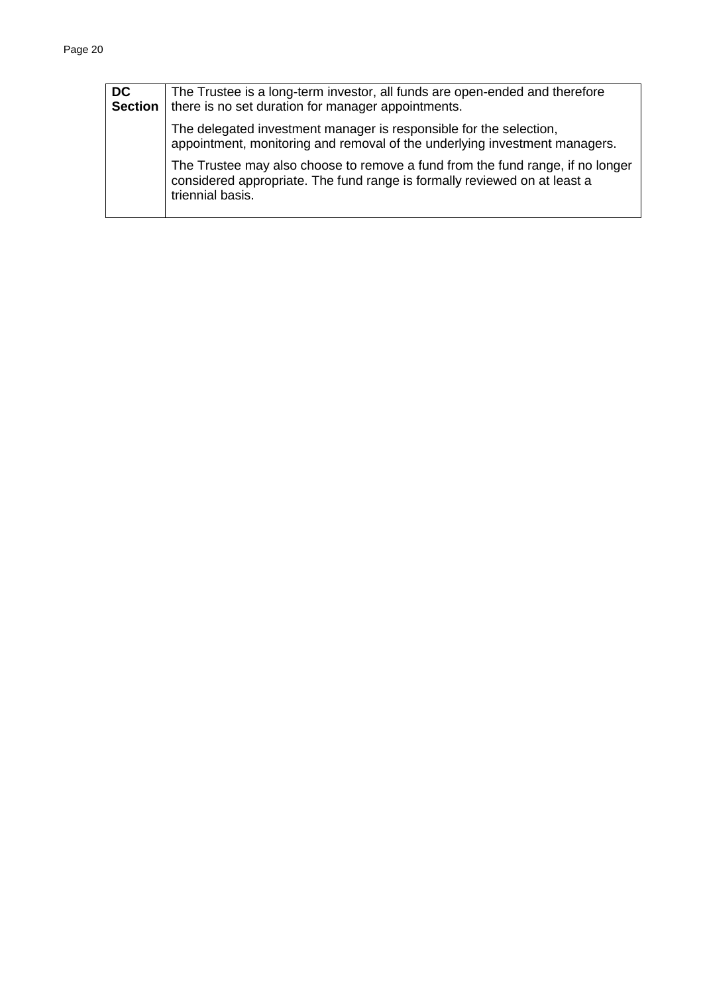| DC.<br><b>Section</b> | The Trustee is a long-term investor, all funds are open-ended and therefore<br>there is no set duration for manager appointments.                                               |  |
|-----------------------|---------------------------------------------------------------------------------------------------------------------------------------------------------------------------------|--|
|                       | The delegated investment manager is responsible for the selection,<br>appointment, monitoring and removal of the underlying investment managers.                                |  |
|                       | The Trustee may also choose to remove a fund from the fund range, if no longer<br>considered appropriate. The fund range is formally reviewed on at least a<br>triennial basis. |  |